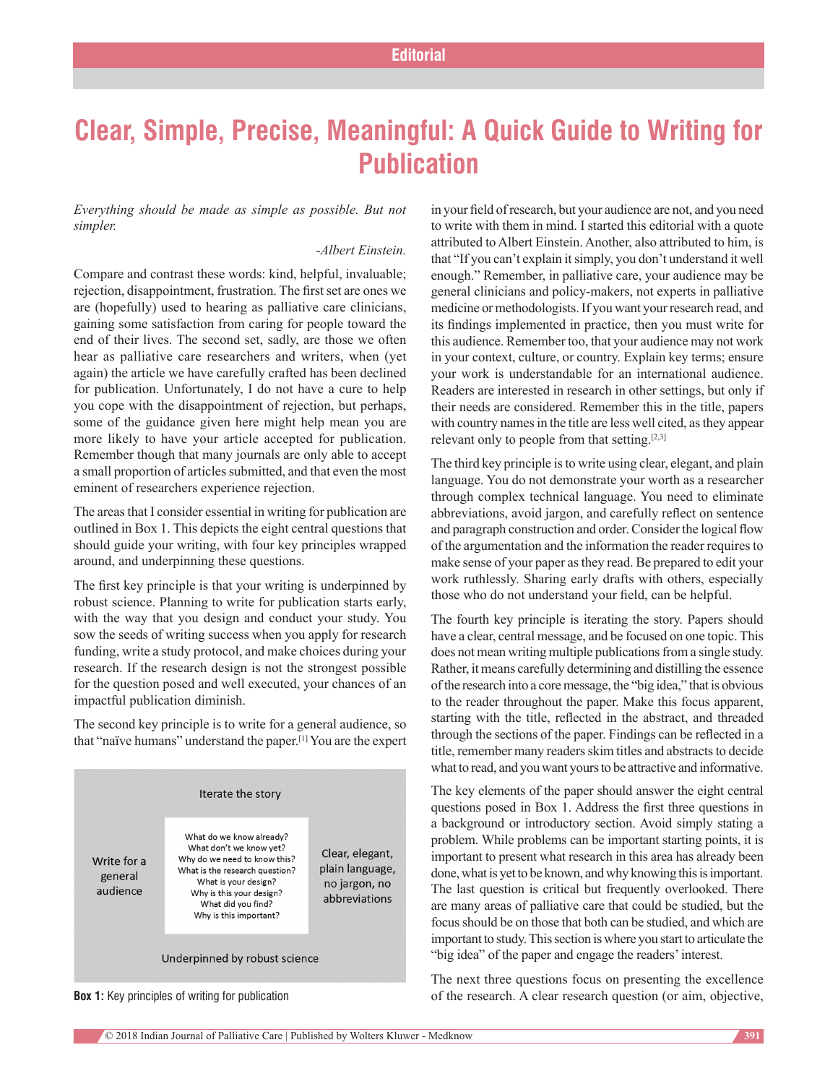## **Clear, Simple, Precise, Meaningful: A Quick Guide to Writing for Publication**

*Everything should be made as simple as possible. But not simpler.*

## ‑*Albert Einstein.*

Compare and contrast these words: kind, helpful, invaluable; rejection, disappointment, frustration. The first set are ones we are (hopefully) used to hearing as palliative care clinicians, gaining some satisfaction from caring for people toward the end of their lives. The second set, sadly, are those we often hear as palliative care researchers and writers, when (yet again) the article we have carefully crafted has been declined for publication. Unfortunately, I do not have a cure to help you cope with the disappointment of rejection, but perhaps, some of the guidance given here might help mean you are more likely to have your article accepted for publication. Remember though that many journals are only able to accept a small proportion of articles submitted, and that even the most eminent of researchers experience rejection.

The areas that I consider essential in writing for publication are outlined in Box 1. This depicts the eight central questions that should guide your writing, with four key principles wrapped around, and underpinning these questions.

The first key principle is that your writing is underpinned by robust science. Planning to write for publication starts early, with the way that you design and conduct your study. You sow the seeds of writing success when you apply for research funding, write a study protocol, and make choices during your research. If the research design is not the strongest possible for the question posed and well executed, your chances of an impactful publication diminish.

The second key principle is to write for a general audience, so that "naïve humans" understand the paper.[1] You are the expert



**Box 1:** Key principles of writing for publication

in your field of research, but your audience are not, and you need to write with them in mind. I started this editorial with a quote attributed to Albert Einstein. Another, also attributed to him, is that "If you can't explain it simply, you don't understand it well enough." Remember, in palliative care, your audience may be general clinicians and policy‑makers, not experts in palliative medicine or methodologists. If you want your research read, and its findings implemented in practice, then you must write for this audience. Remember too, that your audience may not work in your context, culture, or country. Explain key terms; ensure your work is understandable for an international audience. Readers are interested in research in other settings, but only if their needs are considered. Remember this in the title, papers with country names in the title are less well cited, as they appear relevant only to people from that setting. $[2,3]$ 

The third key principle is to write using clear, elegant, and plain language. You do not demonstrate your worth as a researcher through complex technical language. You need to eliminate abbreviations, avoid jargon, and carefully reflect on sentence and paragraph construction and order. Consider the logical flow of the argumentation and the information the reader requires to make sense of your paper as they read. Be prepared to edit your work ruthlessly. Sharing early drafts with others, especially those who do not understand your field, can be helpful.

The fourth key principle is iterating the story. Papers should have a clear, central message, and be focused on one topic. This does not mean writing multiple publications from a single study. Rather, it means carefully determining and distilling the essence of the research into a core message, the "big idea," that is obvious to the reader throughout the paper. Make this focus apparent, starting with the title, reflected in the abstract, and threaded through the sections of the paper. Findings can be reflected in a title, remember many readers skim titles and abstracts to decide what to read, and you want yours to be attractive and informative.

The key elements of the paper should answer the eight central questions posed in Box 1. Address the first three questions in a background or introductory section. Avoid simply stating a problem. While problems can be important starting points, it is important to present what research in this area has already been done, what is yet to be known, and why knowing this is important. The last question is critical but frequently overlooked. There are many areas of palliative care that could be studied, but the focus should be on those that both can be studied, and which are important to study. This section is where you start to articulate the "big idea" of the paper and engage the readers' interest.

The next three questions focus on presenting the excellence of the research. A clear research question (or aim, objective,